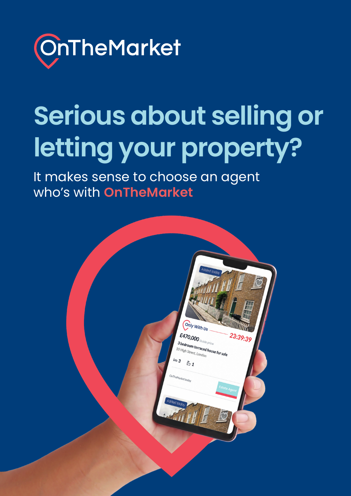

# **Serious about selling or letting your property?**

It makes sense to choose an agent who's with **OnTheMarket**